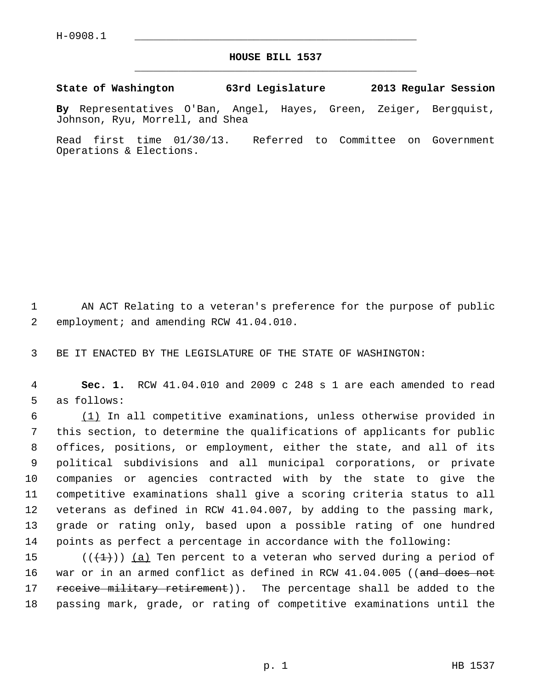$H-0908.1$ 

## **HOUSE BILL 1537** \_\_\_\_\_\_\_\_\_\_\_\_\_\_\_\_\_\_\_\_\_\_\_\_\_\_\_\_\_\_\_\_\_\_\_\_\_\_\_\_\_\_\_\_\_

**State of Washington 63rd Legislature 2013 Regular Session**

**By** Representatives O'Ban, Angel, Hayes, Green, Zeiger, Bergquist, Johnson, Ryu, Morrell, and Shea

Read first time 01/30/13. Referred to Committee on Government Operations & Elections.

 1 AN ACT Relating to a veteran's preference for the purpose of public 2 employment; and amending RCW 41.04.010.

3 BE IT ENACTED BY THE LEGISLATURE OF THE STATE OF WASHINGTON:

 4 **Sec. 1.** RCW 41.04.010 and 2009 c 248 s 1 are each amended to read 5 as follows:

 6 (1) In all competitive examinations, unless otherwise provided in 7 this section, to determine the qualifications of applicants for public 8 offices, positions, or employment, either the state, and all of its 9 political subdivisions and all municipal corporations, or private 10 companies or agencies contracted with by the state to give the 11 competitive examinations shall give a scoring criteria status to all 12 veterans as defined in RCW 41.04.007, by adding to the passing mark, 13 grade or rating only, based upon a possible rating of one hundred 14 points as perfect a percentage in accordance with the following:

15 ( $(\overline{+1})$ ) (a) Ten percent to a veteran who served during a period of 16 war or in an armed conflict as defined in RCW 41.04.005 ((and does not 17 receive military retirement)). The percentage shall be added to the 18 passing mark, grade, or rating of competitive examinations until the